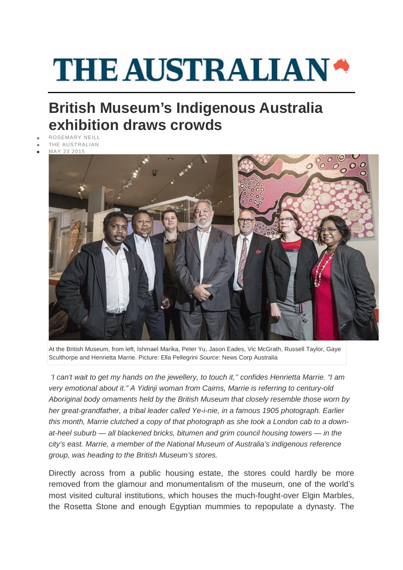## **THE AUSTRALIAN\***

## **British Museum's Indigenous Australia exhibition draws crowds**

- ROSEMARY NEILL
- [THE AUSTRALIAN](http://www.theaustralian.com.au/)
- MAY 23 2015



At the British Museum, from left, Ishmael Marika, Peter Yu, Jason Eades, Vic McGrath, Russell Taylor, Gaye Sculthorpe and Henrietta Marrie. Picture: Ella Pellegrini *Source:* News Corp Australia

*'I can't wait to get my hands on the jewellery, to touch it,'' confides Henrietta Marrie. "I am very emotional about it." A Yidinji woman from Cairns, Marrie is referring to century-old Aboriginal body ornaments held by the British Museum that closely resemble those worn by her great-grandfather, a tribal leader called Ye-i-nie, in a famous 1905 photograph. Earlier this month, Marrie clutched a copy of that photograph as she took a London cab to a downat-heel suburb — all blackened bricks, bitumen and grim council housing towers — in the city's east. Marrie, a member of the National Museum of Australia's indigenous reference group, was heading to the British Museum's stores.*

Directly across from a public housing estate, the stores could hardly be more removed from the glamour and monumentalism of the museum, one of the world's most visited cultural institutions, which houses the much-fought-over Elgin Marbles, the Rosetta Stone and enough Egyptian mummies to repopulate a dynasty. The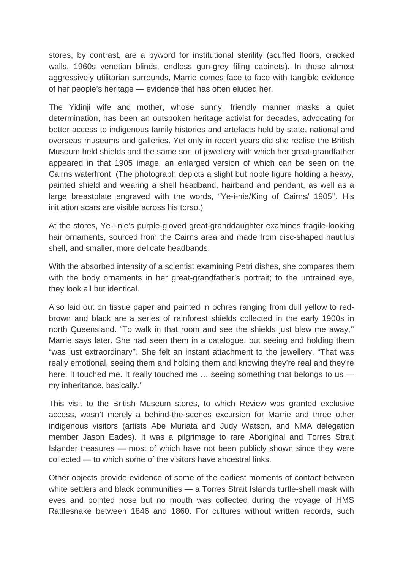stores, by contrast, are a byword for institutional sterility (scuffed floors, cracked walls, 1960s venetian blinds, endless gun-grey filing cabinets). In these almost aggressively utilitarian surrounds, Marrie comes face to face with tangible evidence of her people's heritage — evidence that has often eluded her.

The Yidinji wife and mother, whose sunny, friendly manner masks a quiet determination, has been an outspoken heritage activist for decades, advocating for better access to indigenous family histories and artefacts held by state, national and overseas museums and galleries. Yet only in recent years did she realise the British Museum held shields and the same sort of jewellery with which her great-grandfather appeared in that 1905 image, an enlarged version of which can be seen on the Cairns waterfront. (The photograph depicts a slight but noble figure holding a heavy, painted shield and wearing a shell headband, hairband and pendant, as well as a large breastplate engraved with the words, "Ye-i-nie/King of Cairns/ 1905''. His initiation scars are visible across his torso.)

At the stores, Ye-i-nie's purple-gloved great-granddaughter examines fragile-looking hair ornaments, sourced from the Cairns area and made from disc-shaped nautilus shell, and smaller, more delicate headbands.

With the absorbed intensity of a scientist examining Petri dishes, she compares them with the body ornaments in her great-grandfather's portrait; to the untrained eye, they look all but identical.

Also laid out on tissue paper and painted in ochres ranging from dull yellow to redbrown and black are a series of rainforest shields collected in the early 1900s in north Queensland. "To walk in that room and see the shields just blew me away,'' Marrie says later. She had seen them in a catalogue, but seeing and holding them "was just extraordinary''. She felt an instant attachment to the jewellery. "That was really emotional, seeing them and holding them and knowing they're real and they're here. It touched me. It really touched me ... seeing something that belongs to us my inheritance, basically.''

This visit to the British Museum stores, to which Review was granted exclusive access, wasn't merely a behind-the-scenes excursion for Marrie and three other indigenous visitors (artists Abe Muriata and Judy Watson, and NMA delegation member Jason Eades). It was a pilgrimage to rare Aboriginal and Torres Strait Islander treasures — most of which have not been publicly shown since they were collected — to which some of the visitors have ancestral links.

Other objects provide evidence of some of the earliest moments of contact between white settlers and black communities — a Torres Strait Islands turtle-shell mask with eyes and pointed nose but no mouth was collected during the voyage of HMS Rattlesnake between 1846 and 1860. For cultures without written records, such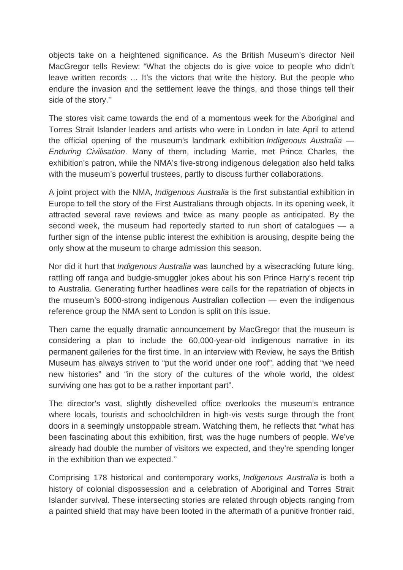objects take on a heightened significance. As the British Museum's director Neil MacGregor tells Review: "What the objects do is give voice to people who didn't leave written records … It's the victors that write the history. But the people who endure the invasion and the settlement leave the things, and those things tell their side of the story.''

The stores visit came towards the end of a momentous week for the Aboriginal and Torres Strait Islander leaders and artists who were in London in late April to attend the official opening of the museum's landmark exhibition *Indigenous Australia — Enduring Civilisation*. Many of them, including Marrie, met Prince Charles, the exhibition's patron, while the NMA's five-strong indigenous delegation also held talks with the museum's powerful trustees, partly to discuss further collaborations.

A joint project with the NMA, *Indigenous Australia* is the first substantial exhibition in Europe to tell the story of the First Australians through objects. In its opening week, it attracted several rave reviews and twice as many people as anticipated. By the second week, the museum had reportedly started to run short of catalogues — a further sign of the intense public interest the exhibition is arousing, despite being the only show at the museum to charge admission this season.

Nor did it hurt that *Indigenous Australia* was launched by a wisecracking future king, rattling off ranga and budgie-smuggler jokes about his son Prince Harry's recent trip to Australia. Generating further headlines were calls for the repatriation of objects in the museum's 6000-strong indigenous Australian collection — even the indigenous reference group the NMA sent to London is split on this issue.

Then came the equally dramatic announcement by MacGregor that the museum is considering a plan to include the 60,000-year-old indigenous narrative in its permanent galleries for the first time. In an interview with Review, he says the British Museum has always striven to "put the world under one roof", adding that "we need new histories" and "in the story of the cultures of the whole world, the oldest surviving one has got to be a rather important part".

The director's vast, slightly dishevelled office overlooks the museum's entrance where locals, tourists and schoolchildren in high-vis vests surge through the front doors in a seemingly unstoppable stream. Watching them, he reflects that "what has been fascinating about this exhibition, first, was the huge numbers of people. We've already had double the number of visitors we expected, and they're spending longer in the exhibition than we expected.''

Comprising 178 historical and contemporary works, *Indigenous Australia* is both a history of colonial dispossession and a celebration of Aboriginal and Torres Strait Islander survival. These intersecting stories are related through objects ranging from a painted shield that may have been looted in the aftermath of a punitive frontier raid,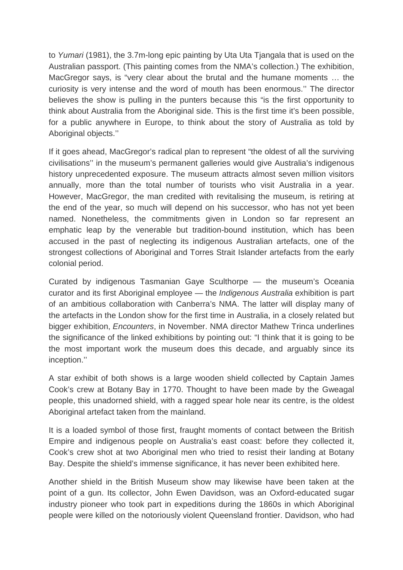to *Yumari* (1981), the 3.7m-long epic painting by Uta Uta Tjangala that is used on the Australian passport. (This painting comes from the NMA's collection.) The exhibition, MacGregor says, is "very clear about the brutal and the humane moments … the curiosity is very intense and the word of mouth has been enormous.'' The director believes the show is pulling in the punters because this "is the first opportunity to think about Australia from the Aboriginal side. This is the first time it's been possible, for a public anywhere in Europe, to think about the story of Australia as told by Aboriginal objects.''

If it goes ahead, MacGregor's radical plan to represent "the oldest of all the surviving civilisations'' in the museum's permanent galleries would give Australia's indigenous history unprecedented exposure. The museum attracts almost seven million visitors annually, more than the total number of tourists who visit Australia in a year. However, MacGregor, the man credited with revitalising the museum, is retiring at the end of the year, so much will depend on his successor, who has not yet been named. Nonetheless, the commitments given in London so far represent an emphatic leap by the venerable but tradition-bound institution, which has been accused in the past of neglecting its indigenous Australian artefacts, one of the strongest collections of Aboriginal and Torres Strait Islander artefacts from the early colonial period.

Curated by indigenous Tasmanian Gaye Sculthorpe — the museum's Oceania curator and its first Aboriginal employee — the *Indigenous Australia* exhibition is part of an ambitious collaboration with Canberra's NMA. The latter will display many of the artefacts in the London show for the first time in Australia, in a closely related but bigger exhibition, *Encounters*, in November. NMA director Mathew Trinca underlines the significance of the linked exhibitions by pointing out: "I think that it is going to be the most important work the museum does this decade, and arguably since its inception.''

A star exhibit of both shows is a large wooden shield collected by Captain James Cook's crew at Botany Bay in 1770. Thought to have been made by the Gweagal people, this unadorned shield, with a ragged spear hole near its centre, is the oldest Aboriginal artefact taken from the mainland.

It is a loaded symbol of those first, fraught moments of contact between the British Empire and indigenous people on Australia's east coast: before they collected it, Cook's crew shot at two Aboriginal men who tried to resist their landing at Botany Bay. Despite the shield's immense significance, it has never been exhibited here.

Another shield in the British Museum show may likewise have been taken at the point of a gun. Its collector, John Ewen Davidson, was an Oxford-educated sugar industry pioneer who took part in expeditions during the 1860s in which Aboriginal people were killed on the notoriously violent Queensland frontier. Davidson, who had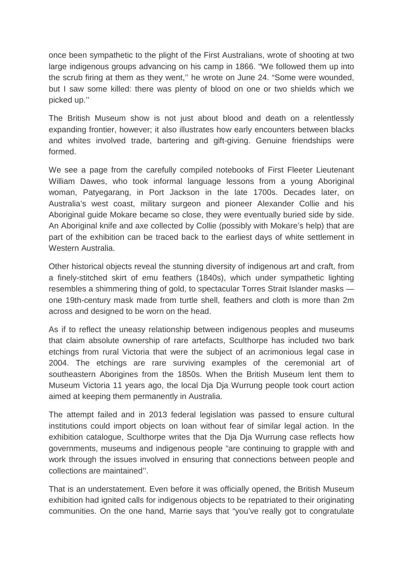once been sympathetic to the plight of the First Australians, wrote of shooting at two large indigenous groups advancing on his camp in 1866. "We followed them up into the scrub firing at them as they went,'' he wrote on June 24. "Some were wounded, but I saw some killed: there was plenty of blood on one or two shields which we picked up.''

The British Museum show is not just about blood and death on a relentlessly expanding frontier, however; it also illustrates how early encounters between blacks and whites involved trade, bartering and gift-giving. Genuine friendships were formed.

We see a page from the carefully compiled notebooks of First Fleeter Lieutenant William Dawes, who took informal language lessons from a young Aboriginal woman, Patyegarang, in Port Jackson in the late 1700s. Decades later, on Australia's west coast, military surgeon and pioneer Alexander Collie and his Aboriginal guide Mokare became so close, they were eventually buried side by side. An Aboriginal knife and axe collected by Collie (possibly with Mokare's help) that are part of the exhibition can be traced back to the earliest days of white settlement in Western Australia.

Other historical objects reveal the stunning diversity of indigenous art and craft, from a finely-stitched skirt of emu feathers (1840s), which under sympathetic lighting resembles a shimmering thing of gold, to spectacular Torres Strait Islander masks one 19th-century mask made from turtle shell, feathers and cloth is more than 2m across and designed to be worn on the head.

As if to reflect the uneasy relationship between indigenous peoples and museums that claim absolute ownership of rare artefacts, Sculthorpe has included two bark etchings from rural Victoria that were the subject of an acrimonious legal case in 2004. The etchings are rare surviving examples of the ceremonial art of southeastern Aborigines from the 1850s. When the British Museum lent them to Museum Victoria 11 years ago, the local Dja Dja Wurrung people took court action aimed at keeping them permanently in Australia.

The attempt failed and in 2013 federal legislation was passed to ensure cultural institutions could import objects on loan without fear of similar legal action. In the exhibition catalogue, Sculthorpe writes that the Dja Dja Wurrung case reflects how governments, museums and indigenous people "are continuing to grapple with and work through the issues involved in ensuring that connections between people and collections are maintained''.

That is an understatement. Even before it was officially opened, the British Museum exhibition had ignited calls for indigenous objects to be repatriated to their originating communities. On the one hand, Marrie says that "you've really got to congratulate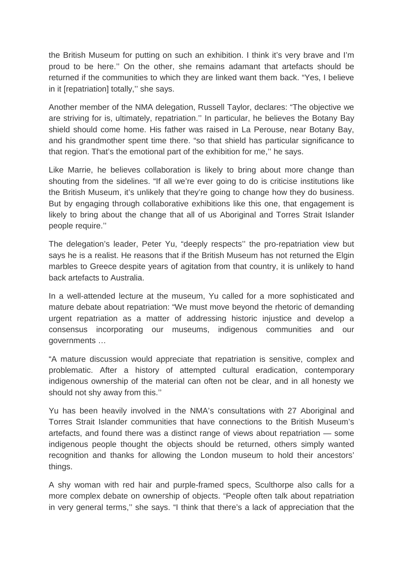the British Museum for putting on such an exhibition. I think it's very brave and I'm proud to be here.'' On the other, she remains adamant that artefacts should be returned if the communities to which they are linked want them back. "Yes, I believe in it [repatriation] totally,'' she says.

Another member of the NMA delegation, Russell Taylor, declares: "The objective we are striving for is, ultimately, repatriation.'' In particular, he believes the Botany Bay shield should come home. His father was raised in La Perouse, near Botany Bay, and his grandmother spent time there. "so that shield has particular significance to that region. That's the emotional part of the exhibition for me,'' he says.

Like Marrie, he believes collaboration is likely to bring about more change than shouting from the sidelines. "If all we're ever going to do is criticise institutions like the British Museum, it's unlikely that they're going to change how they do business. But by engaging through collaborative exhibitions like this one, that engagement is likely to bring about the change that all of us Aboriginal and Torres Strait Islander people require.''

The delegation's leader, Peter Yu, "deeply respects'' the pro-repatriation view but says he is a realist. He reasons that if the British Museum has not returned the Elgin marbles to Greece despite years of agitation from that country, it is unlikely to hand back artefacts to Australia.

In a well-attended lecture at the museum, Yu called for a more sophisticated and mature debate about repatriation: "We must move beyond the rhetoric of demanding urgent repatriation as a matter of addressing historic injustice and develop a consensus incorporating our museums, indigenous communities and our governments …

"A mature discussion would appreciate that repatriation is sensitive, complex and problematic. After a history of attempted cultural eradication, contemporary indigenous ownership of the material can often not be clear, and in all honesty we should not shy away from this.''

Yu has been heavily involved in the NMA's consultations with 27 Aboriginal and Torres Strait Islander communities that have connections to the British Museum's artefacts, and found there was a distinct range of views about repatriation — some indigenous people thought the objects should be returned, others simply wanted recognition and thanks for allowing the London museum to hold their ancestors' things.

A shy woman with red hair and purple-framed specs, Sculthorpe also calls for a more complex debate on ownership of objects. "People often talk about repatriation in very general terms,'' she says. "I think that there's a lack of appreciation that the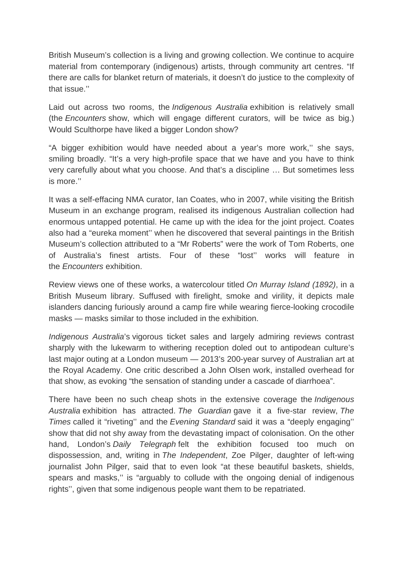British Museum's collection is a living and growing collection. We continue to acquire material from contemporary (indigenous) artists, through community art centres. "If there are calls for blanket return of materials, it doesn't do justice to the complexity of that issue.''

Laid out across two rooms, the *Indigenous Australia* exhibition is relatively small (the *Encounters* show, which will engage different curators, will be twice as big.) Would Sculthorpe have liked a bigger London show?

"A bigger exhibition would have needed about a year's more work,'' she says, smiling broadly. "It's a very high-profile space that we have and you have to think very carefully about what you choose. And that's a discipline … But sometimes less is more.''

It was a self-effacing NMA curator, Ian Coates, who in 2007, while visiting the British Museum in an exchange program, realised its indigenous Australian collection had enormous untapped potential. He came up with the idea for the joint project. Coates also had a "eureka moment'' when he discovered that several paintings in the British Museum's collection attributed to a "Mr Roberts" were the work of Tom Roberts, one of Australia's finest artists. Four of these "lost'' works will feature in the *Encounters* exhibition.

Review views one of these works, a watercolour titled *On Murray Island (1892)*, in a British Museum library. Suffused with firelight, smoke and virility, it depicts male islanders dancing furiously around a camp fire while wearing fierce-looking crocodile masks — masks similar to those included in the exhibition.

*Indigenous Australia*'s vigorous ticket sales and largely admiring reviews contrast sharply with the lukewarm to withering reception doled out to antipodean culture's last major outing at a London museum — 2013's 200-year survey of Australian art at the Royal Academy. One critic described a John Olsen work, installed overhead for that show, as evoking "the sensation of standing under a cascade of diarrhoea".

There have been no such cheap shots in the extensive coverage the *Indigenous Australia* exhibition has attracted. *The Guardian* gave it a five-star review, *The Times* called it "riveting'' and the *Evening Standard* said it was a "deeply engaging'' show that did not shy away from the devastating impact of colonisation. On the other hand, London's *Daily Telegraph* felt the exhibition focused too much on dispossession, and, writing in *The Independent*, Zoe Pilger, daughter of left-wing journalist John Pilger, said that to even look "at these beautiful baskets, shields, spears and masks,'' is "arguably to collude with the ongoing denial of indigenous rights'', given that some indigenous people want them to be repatriated.